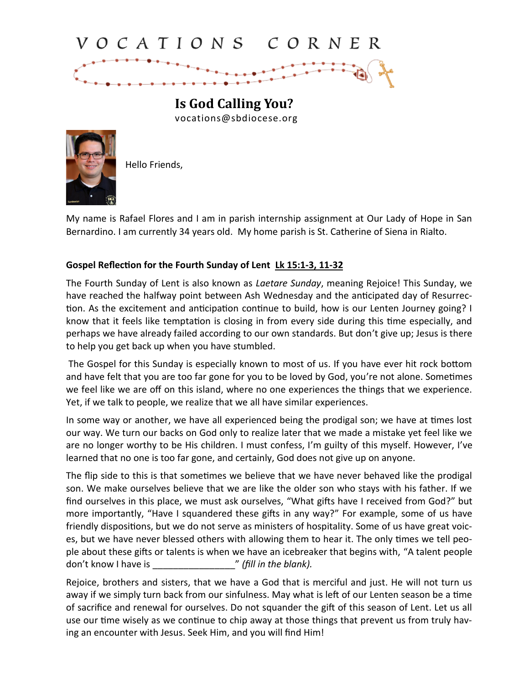## VOCATIONS CORNER

**Is God Calling You?** vocations@sbdiocese.org



Hello Friends,

My name is Rafael Flores and I am in parish internship assignment at Our Lady of Hope in San Bernardino. I am currently 34 years old. My home parish is St. Catherine of Siena in Rialto.

## **Gospel Reflection for the Fourth Sunday of Lent Lk 15:1-3, 11-32**

The Fourth Sunday of Lent is also known as *Laetare Sunday*, meaning Rejoice! This Sunday, we have reached the halfway point between Ash Wednesday and the anticipated day of Resurrection. As the excitement and anticipation continue to build, how is our Lenten Journey going? I know that it feels like temptation is closing in from every side during this time especially, and perhaps we have already failed according to our own standards. But don't give up; Jesus is there to help you get back up when you have stumbled.

The Gospel for this Sunday is especially known to most of us. If you have ever hit rock bottom and have felt that you are too far gone for you to be loved by God, you're not alone. Sometimes we feel like we are off on this island, where no one experiences the things that we experience. Yet, if we talk to people, we realize that we all have similar experiences.

In some way or another, we have all experienced being the prodigal son; we have at times lost our way. We turn our backs on God only to realize later that we made a mistake yet feel like we are no longer worthy to be His children. I must confess, I'm guilty of this myself. However, I've learned that no one is too far gone, and certainly, God does not give up on anyone.

The flip side to this is that sometimes we believe that we have never behaved like the prodigal son. We make ourselves believe that we are like the older son who stays with his father. If we find ourselves in this place, we must ask ourselves, "What gifts have I received from God?" but more importantly, "Have I squandered these gifts in any way?" For example, some of us have friendly dispositions, but we do not serve as ministers of hospitality. Some of us have great voices, but we have never blessed others with allowing them to hear it. The only times we tell people about these gifts or talents is when we have an icebreaker that begins with, "A talent people don't know I have is **we can allow it was allowed**  $\ell$  *(fill in the blank).* 

Rejoice, brothers and sisters, that we have a God that is merciful and just. He will not turn us away if we simply turn back from our sinfulness. May what is left of our Lenten season be a time of sacrifice and renewal for ourselves. Do not squander the gift of this season of Lent. Let us all use our time wisely as we continue to chip away at those things that prevent us from truly having an encounter with Jesus. Seek Him, and you will find Him!